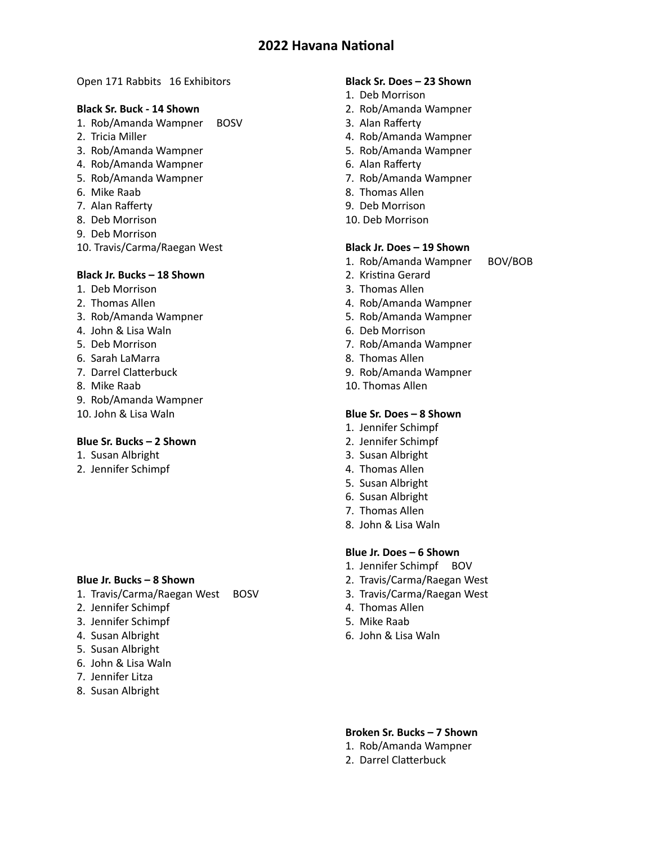### Open 171 Rabbits 16 Exhibitors

### **Black Sr. Buck - 14 Shown**

- 1. Rob/Amanda Wampner BOSV
- 2. Tricia Miller
- 3. Rob/Amanda Wampner
- 4. Rob/Amanda Wampner
- 5. Rob/Amanda Wampner
- 6. Mike Raab
- 7. Alan Rafferty
- 8. Deb Morrison
- 9. Deb Morrison
- 10. Travis/Carma/Raegan West

## **Black Jr. Bucks – 18 Shown**

- 1. Deb Morrison
- 2. Thomas Allen
- 3. Rob/Amanda Wampner
- 4. John & Lisa Waln
- 5. Deb Morrison
- 6. Sarah LaMarra
- 7. Darrel Clatterbuck
- 8. Mike Raab
- 9. Rob/Amanda Wampner
- 10. John & Lisa Waln

### **Blue Sr. Bucks – 2 Shown**

- 1. Susan Albright
- 2. Jennifer Schimpf

### **Blue Jr. Bucks – 8 Shown**

- 1. Travis/Carma/Raegan West BOSV
- 2. Jennifer Schimpf
- 3. Jennifer Schimpf
- 4. Susan Albright
- 5. Susan Albright
- 6. John & Lisa Waln
- 7. Jennifer Litza
- 8. Susan Albright

## **Black Sr. Does – 23 Shown**

- 1. Deb Morrison
- 2. Rob/Amanda Wampner
- 3. Alan Rafferty
- 4. Rob/Amanda Wampner
- 5. Rob/Amanda Wampner
- 6. Alan Rafferty
- 7. Rob/Amanda Wampner
- 8. Thomas Allen
- 9. Deb Morrison
- 10. Deb Morrison

# **Black Jr. Does – 19 Shown**

- 1. Rob/Amanda Wampner BOV/BOB
- 2. Kristina Gerard
- 3. Thomas Allen
- 4. Rob/Amanda Wampner
- 5. Rob/Amanda Wampner
- 6. Deb Morrison
- 7. Rob/Amanda Wampner
- 8. Thomas Allen
- 9. Rob/Amanda Wampner
- 10. Thomas Allen

### **Blue Sr. Does – 8 Shown**

- 1. Jennifer Schimpf
- 2. Jennifer Schimpf
- 3. Susan Albright
- 4. Thomas Allen
- 5. Susan Albright
- 6. Susan Albright
- 7. Thomas Allen
- 8. John & Lisa Waln

## **Blue Jr. Does – 6 Shown**

- 1. Jennifer Schimpf BOV
- 2. Travis/Carma/Raegan West
- 3. Travis/Carma/Raegan West
- 4. Thomas Allen
- 5. Mike Raab
- 6. John & Lisa Waln

## **Broken Sr. Bucks – 7 Shown**

- 1. Rob/Amanda Wampner
- 2. Darrel Clatterbuck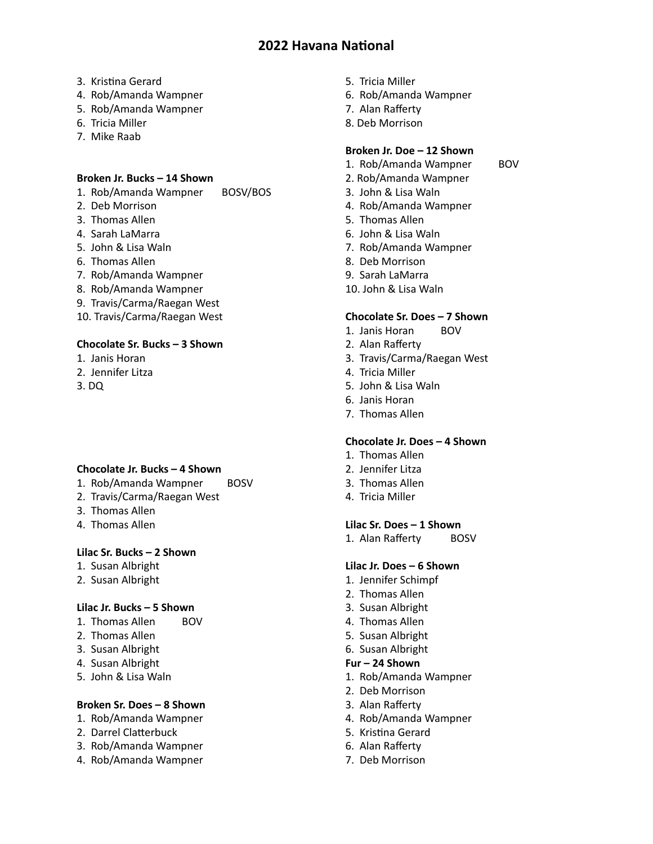- 3. Kristina Gerard
- 4. Rob/Amanda Wampner
- 5. Rob/Amanda Wampner
- 6. Tricia Miller
- 7. Mike Raab

### **Broken Jr. Bucks – 14 Shown**

- 1. Rob/Amanda Wampner BOSV/BOS
- 2. Deb Morrison
- 3. Thomas Allen
- 4. Sarah LaMarra
- 5. John & Lisa Waln
- 6. Thomas Allen
- 7. Rob/Amanda Wampner
- 8. Rob/Amanda Wampner
- 9. Travis/Carma/Raegan West
- 10. Travis/Carma/Raegan West

### **Chocolate Sr. Bucks – 3 Shown**

- 1. Janis Horan
- 2. Jennifer Litza
- 3. DQ

### **Chocolate Jr. Bucks – 4 Shown**

- 1. Rob/Amanda Wampner BOSV
- 2. Travis/Carma/Raegan West
- 3. Thomas Allen
- 4. Thomas Allen

## **Lilac Sr. Bucks – 2 Shown**

- 1. Susan Albright
- 2. Susan Albright

### **Lilac Jr. Bucks – 5 Shown**

- 1. Thomas Allen BOV
- 2. Thomas Allen
- 3. Susan Albright
- 4. Susan Albright
- 5. John & Lisa Waln

# **Broken Sr. Does – 8 Shown**

- 1. Rob/Amanda Wampner
- 2. Darrel Clatterbuck
- 3. Rob/Amanda Wampner
- 4. Rob/Amanda Wampner
- 5. Tricia Miller
- 6. Rob/Amanda Wampner
- 7. Alan Rafferty
- 8. Deb Morrison

## **Broken Jr. Doe – 12 Shown**

- 1. Rob/Amanda Wampner BOV
- 2. Rob/Amanda Wampner
- 3. John & Lisa Waln
- 4. Rob/Amanda Wampner
- 5. Thomas Allen
- 6. John & Lisa Waln
- 7. Rob/Amanda Wampner
- 8. Deb Morrison
- 9. Sarah LaMarra
- 10. John & Lisa Waln

### **Chocolate Sr. Does – 7 Shown**

- 1. Janis Horan BOV
- 2. Alan Rafferty
- 3. Travis/Carma/Raegan West
- 4. Tricia Miller
- 5. John & Lisa Waln
- 6. Janis Horan
- 7. Thomas Allen

### **Chocolate Jr. Does – 4 Shown**

- 1. Thomas Allen
- 2. Jennifer Litza
- 3. Thomas Allen
- 4. Tricia Miller

### **Lilac Sr. Does – 1 Shown**

1. Alan Rafferty BOSV

### **Lilac Jr. Does – 6 Shown**

- 1. Jennifer Schimpf
- 2. Thomas Allen
- 3. Susan Albright
- 4. Thomas Allen
- 5. Susan Albright
- 6. Susan Albright

#### **Fur – 24 Shown**

- 1. Rob/Amanda Wampner
- 2. Deb Morrison
- 3. Alan Rafferty
- 4. Rob/Amanda Wampner
- 5. Kristina Gerard
- 6. Alan Rafferty
- 7. Deb Morrison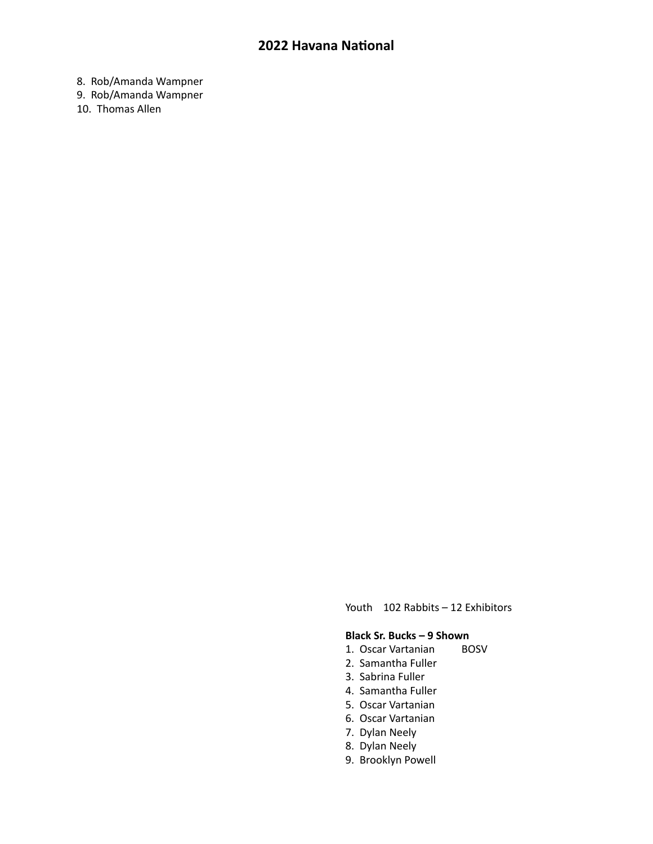8. Rob/Amanda Wampner

9. Rob/Amanda Wampner

10. Thomas Allen

Youth 102 Rabbits – 12 Exhibitors

### **Black Sr. Bucks – 9 Shown**

- 1. Oscar Vartanian BOSV
- 2. Samantha Fuller
- 3. Sabrina Fuller
- 4. Samantha Fuller
- 5. Oscar Vartanian
- 6. Oscar Vartanian
- 7. Dylan Neely
- 8. Dylan Neely
- 9. Brooklyn Powell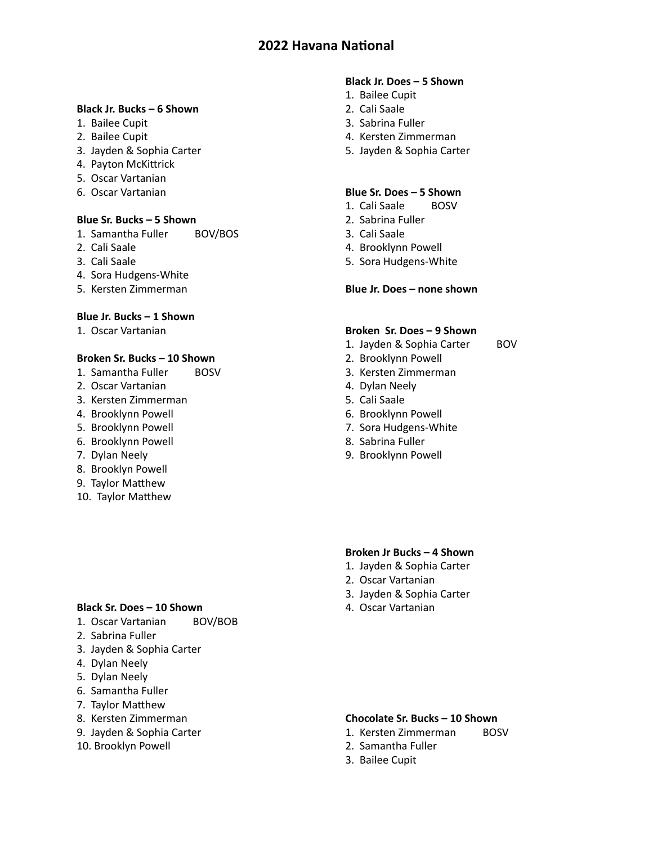## **Black Jr. Bucks – 6 Shown**

- 1. Bailee Cupit
- 2. Bailee Cupit
- 3. Jayden & Sophia Carter
- 4. Payton McKittrick
- 5. Oscar Vartanian
- 6. Oscar Vartanian

### **Blue Sr. Bucks – 5 Shown**

- 1. Samantha Fuller BOV/BOS
- 2. Cali Saale
- 3. Cali Saale
- 4. Sora Hudgens-White
- 5. Kersten Zimmerman

## **Blue Jr. Bucks – 1 Shown**

1. Oscar Vartanian

### **Broken Sr. Bucks – 10 Shown**

- 1. Samantha Fuller BOSV
- 2. Oscar Vartanian
- 3. Kersten Zimmerman
- 4. Brooklynn Powell
- 5. Brooklynn Powell
- 6. Brooklynn Powell
- 7. Dylan Neely
- 8. Brooklyn Powell
- 9. Taylor Matthew
- 10. Taylor Matthew

### **Black Sr. Does – 10 Shown**

- 1. Oscar Vartanian BOV/BOB
- 2. Sabrina Fuller
- 3. Jayden & Sophia Carter
- 4. Dylan Neely
- 5. Dylan Neely
- 6. Samantha Fuller
- 7. Taylor Matthew
- 8. Kersten Zimmerman
- 9. Jayden & Sophia Carter
- 10. Brooklyn Powell

### **Black Jr. Does – 5 Shown**

- 1. Bailee Cupit
- 2. Cali Saale
- 3. Sabrina Fuller
- 4. Kersten Zimmerman
- 5. Jayden & Sophia Carter

### **Blue Sr. Does – 5 Shown**

- 1. Cali Saale BOSV
- 2. Sabrina Fuller
- 3. Cali Saale
- 4. Brooklynn Powell
- 5. Sora Hudgens-White

#### **Blue Jr. Does – none shown**

## **Broken Sr. Does – 9 Shown**

- 1. Jayden & Sophia Carter BOV
- 2. Brooklynn Powell
- 3. Kersten Zimmerman
- 4. Dylan Neely
- 5. Cali Saale
- 6. Brooklynn Powell
- 7. Sora Hudgens-White
- 8. Sabrina Fuller
- 9. Brooklynn Powell

### **Broken Jr Bucks – 4 Shown**

- 1. Jayden & Sophia Carter
- 2. Oscar Vartanian
- 3. Jayden & Sophia Carter
- 4. Oscar Vartanian

### **Chocolate Sr. Bucks – 10 Shown**

- 1. Kersten Zimmerman BOSV
- 2. Samantha Fuller
- 3. Bailee Cupit